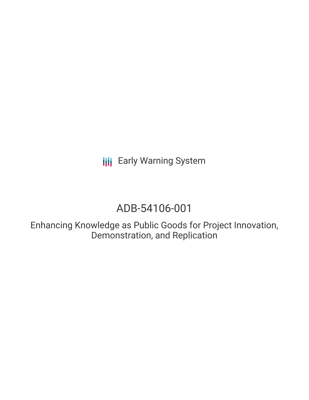**III** Early Warning System

# ADB-54106-001

Enhancing Knowledge as Public Goods for Project Innovation, Demonstration, and Replication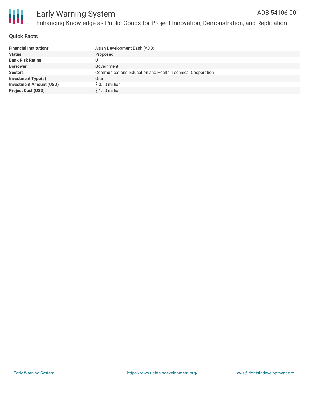

# **Quick Facts**

| <b>Financial Institutions</b>  | Asian Development Bank (ADB)                                |
|--------------------------------|-------------------------------------------------------------|
| <b>Status</b>                  | Proposed                                                    |
| <b>Bank Risk Rating</b>        |                                                             |
| <b>Borrower</b>                | Government                                                  |
| <b>Sectors</b>                 | Communications, Education and Health, Technical Cooperation |
| <b>Investment Type(s)</b>      | Grant                                                       |
| <b>Investment Amount (USD)</b> | $$0.50$ million                                             |
| <b>Project Cost (USD)</b>      | \$1.50 million                                              |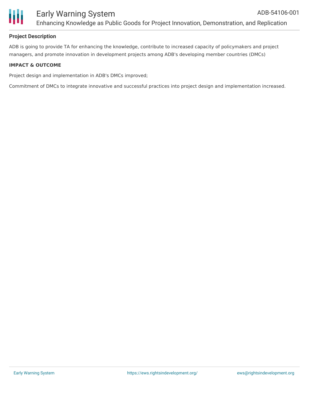

# **Project Description**

ADB is going to provide TA for enhancing the knowledge, contribute to increased capacity of policymakers and project managers, and promote innovation in development projects among ADB's developing member countries (DMCs)

#### **IMPACT & OUTCOME**

Project design and implementation in ADB's DMCs improved;

Commitment of DMCs to integrate innovative and successful practices into project design and implementation increased.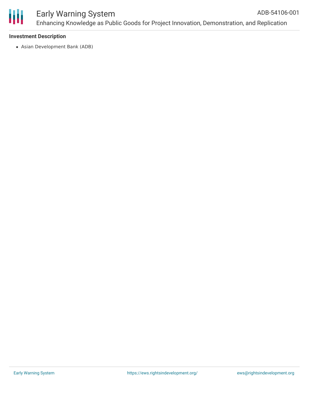

#### Early Warning System Enhancing Knowledge as Public Goods for Project Innovation, Demonstration, and Replication ADB-54106-001

# **Investment Description**

Asian Development Bank (ADB)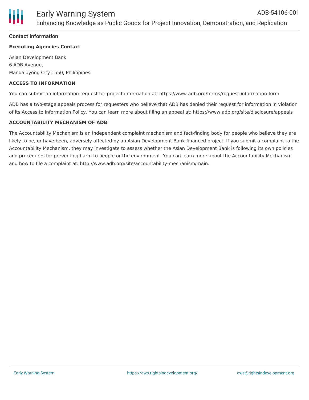

#### **Contact Information**

#### **Executing Agencies Contact**

Asian Development Bank 6 ADB Avenue, Mandaluyong City 1550, Philippines

#### **ACCESS TO INFORMATION**

You can submit an information request for project information at: https://www.adb.org/forms/request-information-form

ADB has a two-stage appeals process for requesters who believe that ADB has denied their request for information in violation of its Access to Information Policy. You can learn more about filing an appeal at: https://www.adb.org/site/disclosure/appeals

#### **ACCOUNTABILITY MECHANISM OF ADB**

The Accountability Mechanism is an independent complaint mechanism and fact-finding body for people who believe they are likely to be, or have been, adversely affected by an Asian Development Bank-financed project. If you submit a complaint to the Accountability Mechanism, they may investigate to assess whether the Asian Development Bank is following its own policies and procedures for preventing harm to people or the environment. You can learn more about the Accountability Mechanism and how to file a complaint at: http://www.adb.org/site/accountability-mechanism/main.